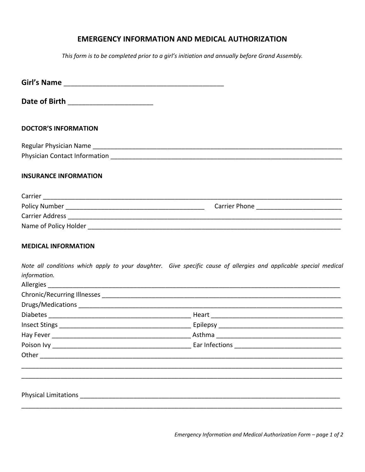## **EMERGENCY INFORMATION AND MEDICAL AUTHORIZATION**

This form is to be completed prior to a girl's initiation and annually before Grand Assembly.

| Date of Birth ________________________                                                                        |                                                                                                                                                                                                                                     |
|---------------------------------------------------------------------------------------------------------------|-------------------------------------------------------------------------------------------------------------------------------------------------------------------------------------------------------------------------------------|
| <b>DOCTOR'S INFORMATION</b>                                                                                   |                                                                                                                                                                                                                                     |
|                                                                                                               |                                                                                                                                                                                                                                     |
|                                                                                                               |                                                                                                                                                                                                                                     |
| <b>INSURANCE INFORMATION</b>                                                                                  |                                                                                                                                                                                                                                     |
|                                                                                                               |                                                                                                                                                                                                                                     |
|                                                                                                               |                                                                                                                                                                                                                                     |
|                                                                                                               |                                                                                                                                                                                                                                     |
|                                                                                                               |                                                                                                                                                                                                                                     |
| <b>MEDICAL INFORMATION</b><br>information.                                                                    | Note all conditions which apply to your daughter. Give specific cause of allergies and applicable special medical                                                                                                                   |
|                                                                                                               |                                                                                                                                                                                                                                     |
|                                                                                                               |                                                                                                                                                                                                                                     |
|                                                                                                               |                                                                                                                                                                                                                                     |
|                                                                                                               |                                                                                                                                                                                                                                     |
|                                                                                                               |                                                                                                                                                                                                                                     |
|                                                                                                               | Poison Ivy <b>Example 2018</b> 2019 12:30 The Early Early Early Early Early Early Early Early Early Early Early Early Early Early Early Early Early Early Early Early Early Early Early Early Early Early Early Early Early Early E |
| Other and the contract of the contract of the contract of the contract of the contract of the contract of the |                                                                                                                                                                                                                                     |
|                                                                                                               |                                                                                                                                                                                                                                     |
|                                                                                                               |                                                                                                                                                                                                                                     |

Emergency Information and Medical Authorization Form - page 1 of 2